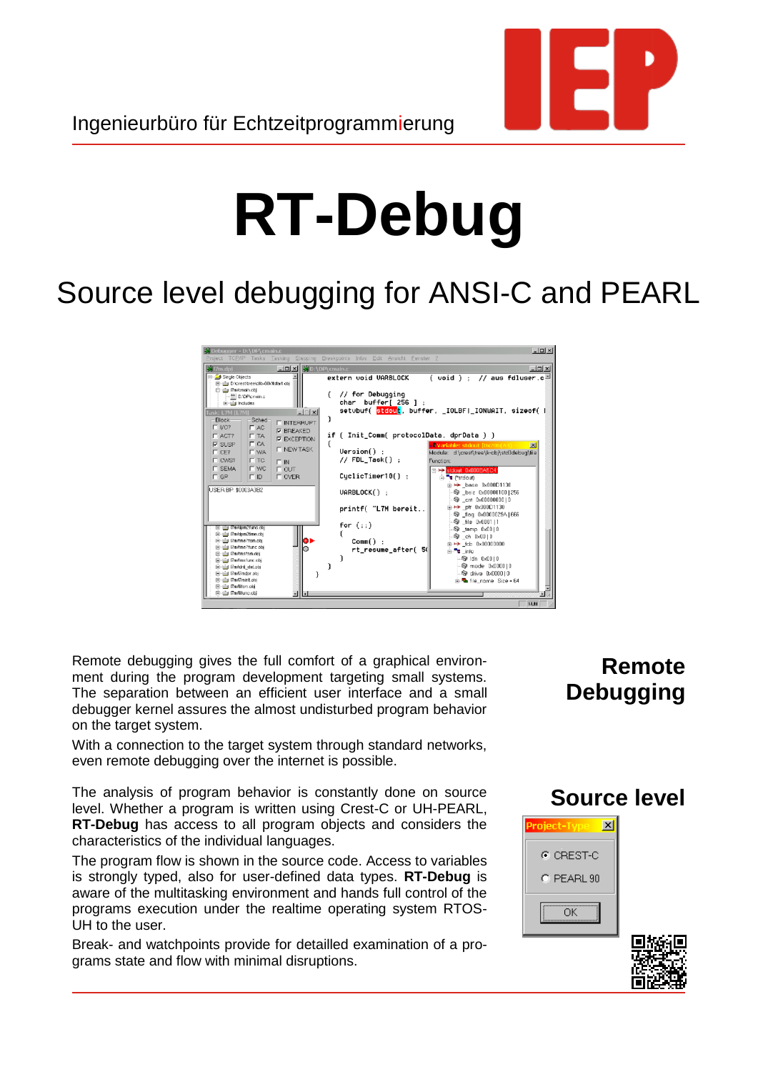

# **RT-Debug**

# Source level debugging for ANSI-C and PEARL



Remote debugging gives the full comfort of a graphical environment during the program development targeting small systems. The separation between an efficient user interface and a small debugger kernel assures the almost undisturbed program behavior on the target system.

With a connection to the target system through standard networks, even remote debugging over the internet is possible.

The analysis of program behavior is constantly done on source level. Whether a program is written using Crest-C or UH-PEARL, **RT-Debug** has access to all program objects and considers the characteristics of the individual languages.

The program flow is shown in the source code. Access to variables is strongly typed, also for user-defined data types. **RT-Debug** is aware of the multitasking environment and hands full control of the programs execution under the realtime operating system RTOS-UH to the user.

Break- and watchpoints provide for detailled examination of a programs state and flow with minimal disruptions.

## **Remote Debugging**





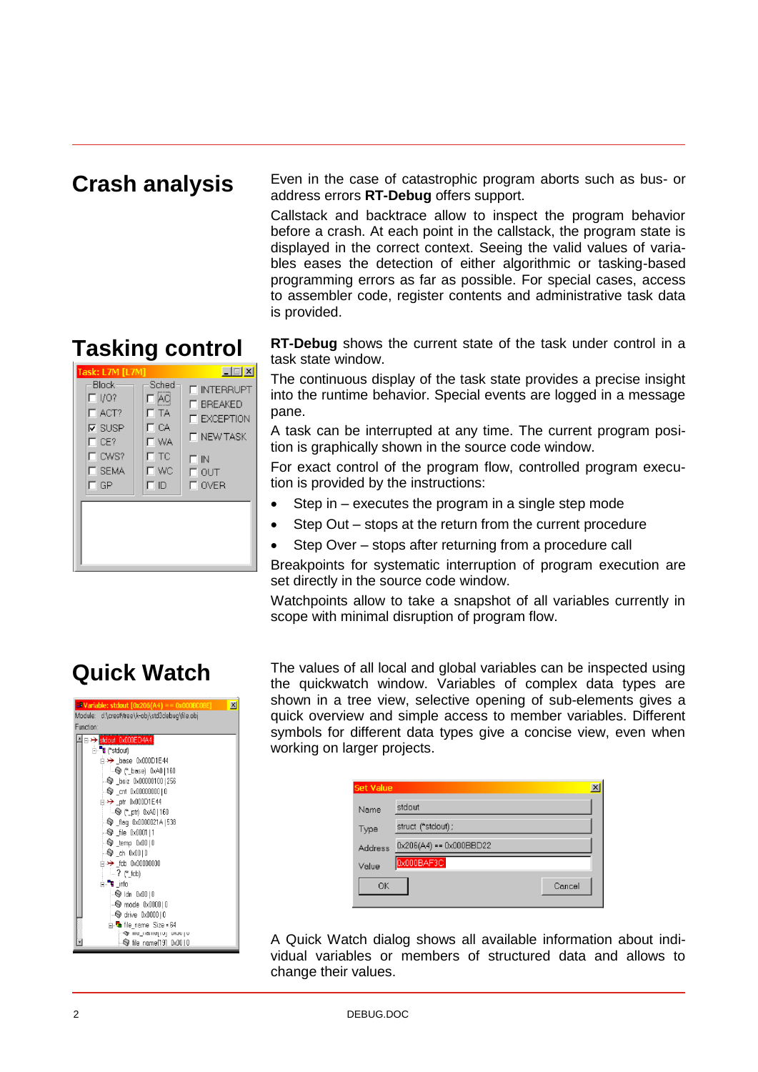#### **Crash analysis**

**Tasking control**

 $\Box$ Block Sched **FINTERRUPT**  $\Box$  I/O?  $\Box$ AC  $\Box$  BREAKED  $\overline{\Box}$  $\Gamma$  ACT?  $\square$  EXCEPTION  $\Box$  CA  $\nabla$  SUSP **IT NEW TASK**  $\Box$  CE? **IT WA**  $\Box$  CWS?  $\Box$ TC  $\Box$ IN  $\Box$  SEMA  $\overline{\Gamma}$  out<br> $\overline{\Gamma}$  over  $\Box$  wc  $\Box$  GP  $\Box$ 

Even in the case of catastrophic program aborts such as bus- or address errors **RT-Debug** offers support.

Callstack and backtrace allow to inspect the program behavior before a crash. At each point in the callstack, the program state is displayed in the correct context. Seeing the valid values of variables eases the detection of either algorithmic or tasking-based programming errors as far as possible. For special cases, access to assembler code, register contents and administrative task data is provided.

**RT-Debug** shows the current state of the task under control in a task state window.

The continuous display of the task state provides a precise insight into the runtime behavior. Special events are logged in a message pane.

A task can be interrupted at any time. The current program position is graphically shown in the source code window.

For exact control of the program flow, controlled program execution is provided by the instructions:

- Step in executes the program in a single step mode
- Step Out stops at the return from the current procedure
- Step Over stops after returning from a procedure call

Breakpoints for systematic interruption of program execution are set directly in the source code window.

Watchpoints allow to take a snapshot of all variables currently in scope with minimal disruption of program flow.

#### **Quick Watch**



The values of all local and global variables can be inspected using the quickwatch window. Variables of complex data types are shown in a tree view, selective opening of sub-elements gives a quick overview and simple access to member variables. Different symbols for different data types give a concise view, even when working on larger projects.

| <b>Set Value</b> |                                        |  |
|------------------|----------------------------------------|--|
| Name             | stdout                                 |  |
| Type             | struct ("stdout);                      |  |
| <b>Address</b>   | $0 \times 206(A4) = 0 \times 000BBD22$ |  |
| Value            | 0x000BAF3C                             |  |
| ΟK               | Cancel                                 |  |

A Quick Watch dialog shows all available information about individual variables or members of structured data and allows to change their values.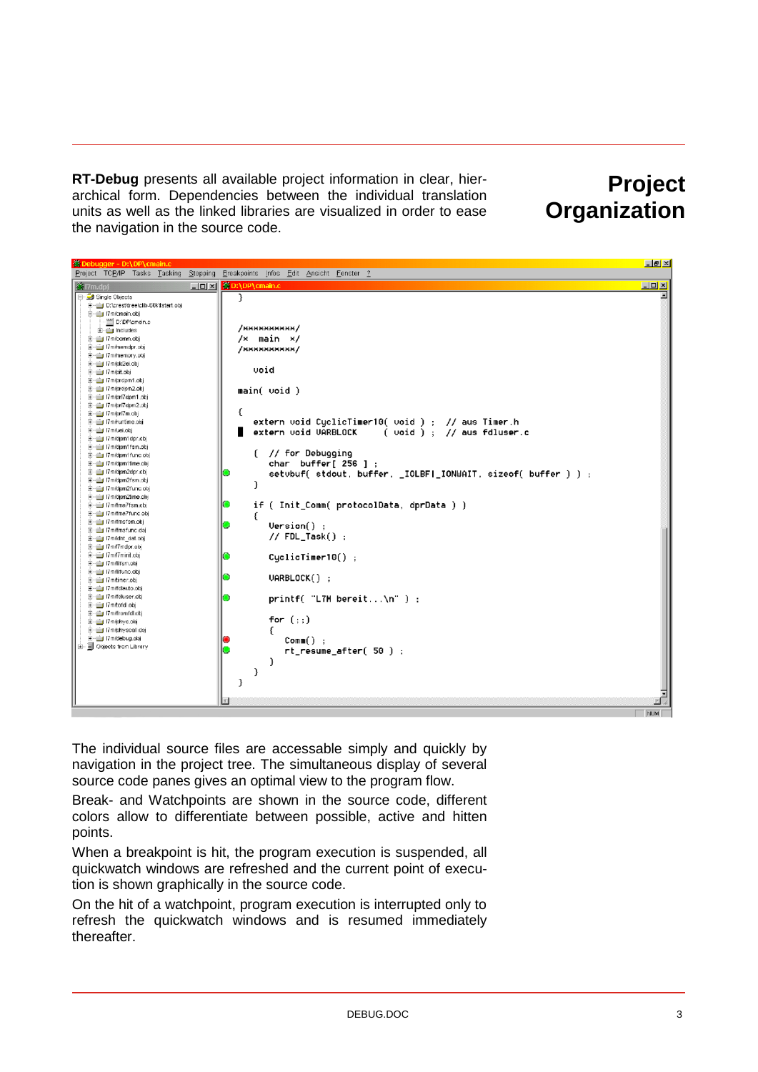**RT-Debug** presents all available project information in clear, hierarchical form. Dependencies between the individual translation units as well as the linked libraries are visualized in order to ease the navigation in the source code.

## **Project Organization**



The individual source files are accessable simply and quickly by navigation in the project tree. The simultaneous display of several source code panes gives an optimal view to the program flow.

Break- and Watchpoints are shown in the source code, different colors allow to differentiate between possible, active and hitten points.

When a breakpoint is hit, the program execution is suspended, all quickwatch windows are refreshed and the current point of execution is shown graphically in the source code.

On the hit of a watchpoint, program execution is interrupted only to refresh the quickwatch windows and is resumed immediately thereafter.